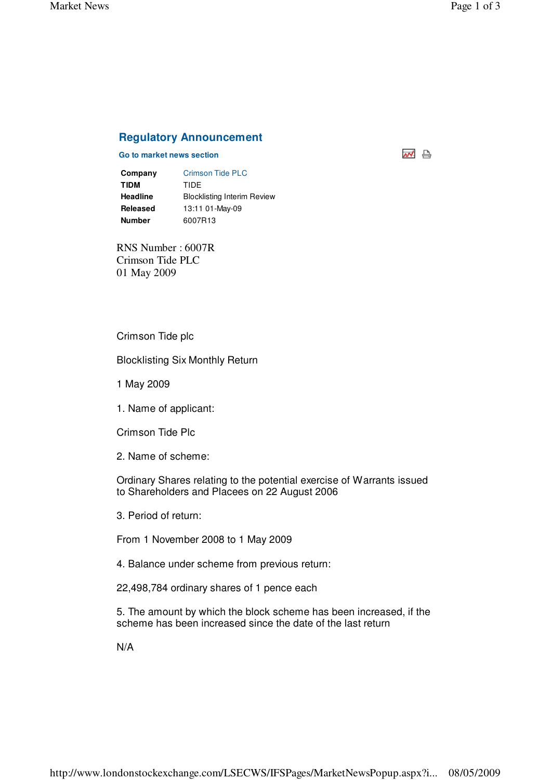## **Regulatory Announcement**

## **Go to market news section**

| Company         | Crimson Tide PLC                   |
|-----------------|------------------------------------|
| <b>TIDM</b>     | TIDE                               |
| <b>Headline</b> | <b>Blocklisting Interim Review</b> |
| Released        | 13:11 01-May-09                    |
| <b>Number</b>   | 6007R13                            |

RNS Number : 6007R Crimson Tide PLC 01 May 2009

## Crimson Tide plc

Blocklisting Six Monthly Return

- 1 May 2009
- 1. Name of applicant:

Crimson Tide Plc

2. Name of scheme:

Ordinary Shares relating to the potential exercise of Warrants issued to Shareholders and Placees on 22 August 2006

3. Period of return:

From 1 November 2008 to 1 May 2009

- 4. Balance under scheme from previous return:
- 22,498,784 ordinary shares of 1 pence each

5. The amount by which the block scheme has been increased, if the scheme has been increased since the date of the last return

N/A

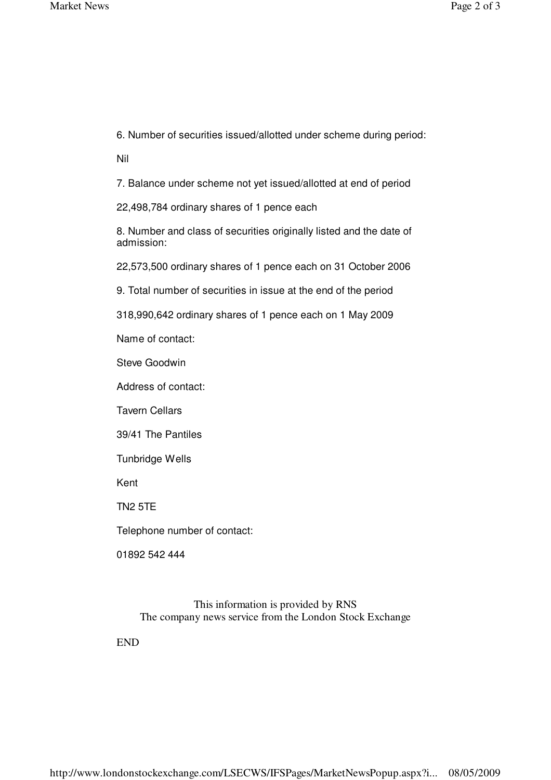6. Number of securities issued/allotted under scheme during period:

Nil

7. Balance under scheme not yet issued/allotted at end of period

22,498,784 ordinary shares of 1 pence each

8. Number and class of securities originally listed and the date of admission:

22,573,500 ordinary shares of 1 pence each on 31 October 2006

9. Total number of securities in issue at the end of the period

318,990,642 ordinary shares of 1 pence each on 1 May 2009

Name of contact:

Steve Goodwin

Address of contact:

Tavern Cellars

39/41 The Pantiles

Tunbridge Wells

Kent

TN2 5TE

Telephone number of contact:

01892 542 444

This information is provided by RNS The company news service from the London Stock Exchange

END